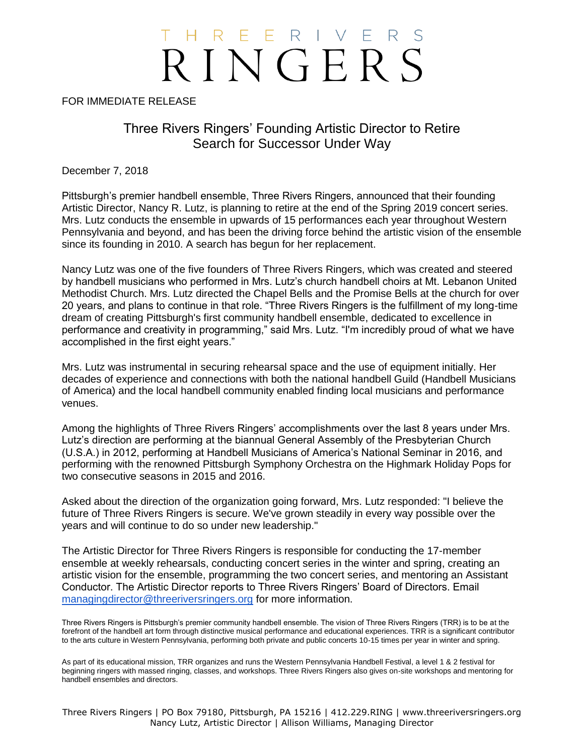## T H R E E R I V E R RINGERS

FOR IMMEDIATE RELEASE

Three Rivers Ringers' Founding Artistic Director to Retire Search for Successor Under Way

December 7, 2018

Pittsburgh's premier handbell ensemble, Three Rivers Ringers, announced that their founding Artistic Director, Nancy R. Lutz, is planning to retire at the end of the Spring 2019 concert series. Mrs. Lutz conducts the ensemble in upwards of 15 performances each year throughout Western Pennsylvania and beyond, and has been the driving force behind the artistic vision of the ensemble since its founding in 2010. A search has begun for her replacement.

Nancy Lutz was one of the five founders of Three Rivers Ringers, which was created and steered by handbell musicians who performed in Mrs. Lutz's church handbell choirs at Mt. Lebanon United Methodist Church. Mrs. Lutz directed the Chapel Bells and the Promise Bells at the church for over 20 years, and plans to continue in that role. "Three Rivers Ringers is the fulfillment of my long-time dream of creating Pittsburgh's first community handbell ensemble, dedicated to excellence in performance and creativity in programming," said Mrs. Lutz. "I'm incredibly proud of what we have accomplished in the first eight years."

Mrs. Lutz was instrumental in securing rehearsal space and the use of equipment initially. Her decades of experience and connections with both the national handbell Guild (Handbell Musicians of America) and the local handbell community enabled finding local musicians and performance venues.

Among the highlights of Three Rivers Ringers' accomplishments over the last 8 years under Mrs. Lutz's direction are performing at the biannual General Assembly of the Presbyterian Church (U.S.A.) in 2012, performing at Handbell Musicians of America's National Seminar in 2016, and performing with the renowned Pittsburgh Symphony Orchestra on the Highmark Holiday Pops for two consecutive seasons in 2015 and 2016.

Asked about the direction of the organization going forward, Mrs. Lutz responded: "I believe the future of Three Rivers Ringers is secure. We've grown steadily in every way possible over the years and will continue to do so under new leadership."

The Artistic Director for Three Rivers Ringers is responsible for conducting the 17-member ensemble at weekly rehearsals, conducting concert series in the winter and spring, creating an artistic vision for the ensemble, programming the two concert series, and mentoring an Assistant Conductor. The Artistic Director reports to Three Rivers Ringers' Board of Directors. Email [managingdirector@threeriversringers.org](mailto:managingdirector@threeriversringers.org) for more information.

Three Rivers Ringers is Pittsburgh's premier community handbell ensemble. The vision of Three Rivers Ringers (TRR) is to be at the forefront of the handbell art form through distinctive musical performance and educational experiences. TRR is a significant contributor to the arts culture in Western Pennsylvania, performing both private and public concerts 10-15 times per year in winter and spring.

As part of its educational mission, TRR organizes and runs the Western Pennsylvania Handbell Festival, a level 1 & 2 festival for beginning ringers with massed ringing, classes, and workshops. Three Rivers Ringers also gives on-site workshops and mentoring for handbell ensembles and directors.

Three Rivers Ringers | PO Box 79180, Pittsburgh, PA 15216 | 412.229.RING | www.threeriversringers.org Nancy Lutz, Artistic Director | Allison Williams, Managing Director